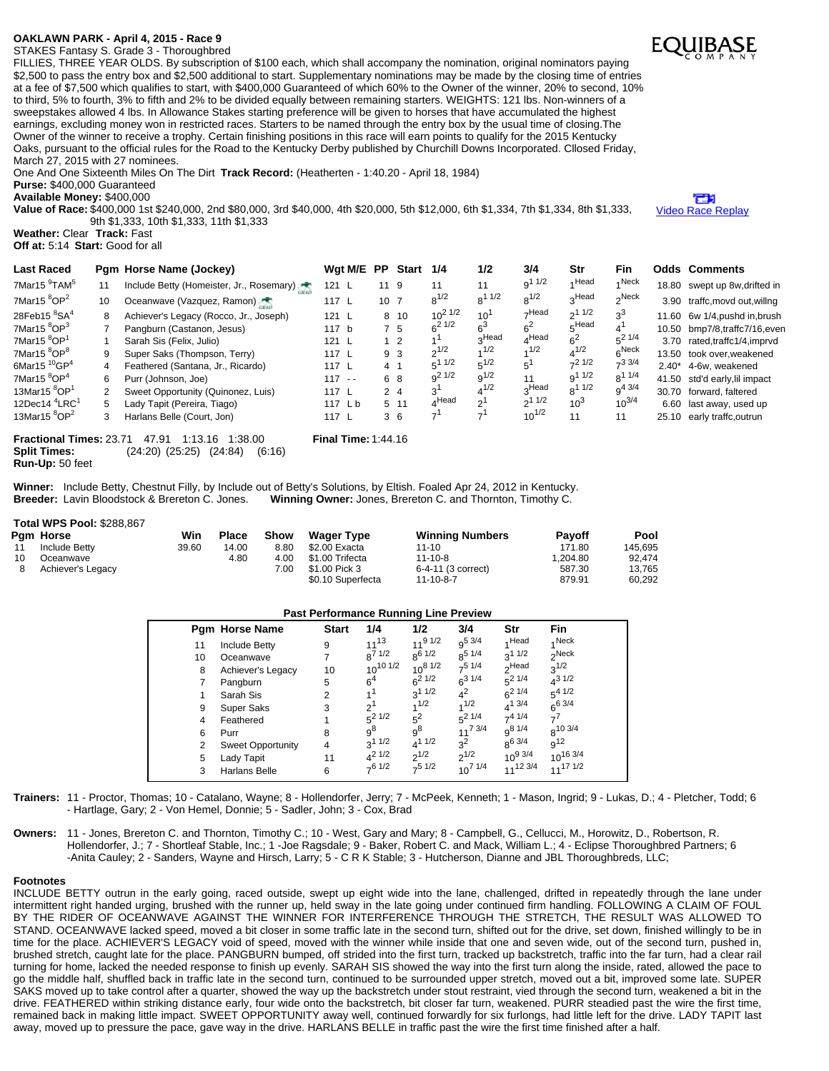## **OAKLAWN PARK - April 4, 2015 - Race 9**

STAKES Fantasy S. Grade 3 - Thoroughbred

FILLIES, THREE YEAR OLDS. By subscription of \$100 each, which shall accompany the nomination, original nominators paying \$2,500 to pass the entry box and \$2,500 additional to start. Supplementary nominations may be made by the closing time of entries at a fee of \$7,500 which qualifies to start, with \$400,000 Guaranteed of which 60% to the Owner of the winner, 20% to second, 10% to third, 5% to fourth, 3% to fifth and 2% to be divided equally between remaining starters. WEIGHTS: 121 lbs. Non-winners of a sweepstakes allowed 4 lbs. In Allowance Stakes starting preference will be given to horses that have accumulated the highest earnings, excluding money won in restricted races. Starters to be named through the entry box by the usual time of closing.The Owner of the winner to receive a trophy. Certain finishing positions in this race will earn points to qualify for the 2015 Kentucky Oaks, pursuant to the official rules for the Road to the Kentucky Derby published by Churchill Downs Incorporated. Cllosed Friday, March 27, 2015 with 27 nominees.

One And One Sixteenth Miles On The Dirt **Track Record:** (Heatherten - 1:40.20 - April 18, 1984)

**Purse:** \$400,000 Guaranteed **Available Money:** \$400,000

**Value of Race:** \$400,000 1st \$240,000, 2nd \$80,000, 3rd \$40,000, 4th \$20,000, 5th \$12,000, 6th \$1,334, 7th \$1,334, 8th \$1,333, 9th \$1,333, 10th \$1,333, 11th \$1,333

**Weather:** Clear **Track:** Fast

**Off at:** 5:14 **Start:** Good for all

| <b>Last Raced</b>                    |                | Pgm Horse Name (Jockey)                  |               | Wgt M/E PP |                 | <b>Start</b>   | 1/4            | 1/2                      | 3/4               | Str            | Fin         |         | <b>Odds Comments</b>          |
|--------------------------------------|----------------|------------------------------------------|---------------|------------|-----------------|----------------|----------------|--------------------------|-------------------|----------------|-------------|---------|-------------------------------|
| 7Mar15 <sup>9</sup> TAM <sup>5</sup> | 11             | Include Betty (Homeister, Jr., Rosemary) | 121 L         |            | 11 9            |                | 11             | 11                       | 9 <sup>11/2</sup> | Head           | 4 Neck      |         | 18.80 swept up 8w, drifted in |
| 7Mar15 ${}^{8}OP^{2}$                | 10             | Oceanwave (Vazquez, Ramon)               | 117 L         |            | 10 <sub>7</sub> |                | $8^{1/2}$      | $8^{11/2}$               | $8^{1/2}$         | 3Head          | $\sim$ Neck |         | 3.90 traffc, movd out, willng |
| 28Feb15 $8$ SA $4$                   | 8              | Achiever's Legacy (Rocco, Jr., Joseph)   | 121 L         |            |                 | 8 10           | $10^{2}$ $1/2$ | $10^1$                   | –Head             | 211/2          | $3^3$       | 11.60   | 6w 1/4, pushd in, brush       |
| 7Mar15 ${}^{8}OP^{3}$                |                | Pangburn (Castanon, Jesus)               | 117 b         |            |                 | 7 5            | $6^{21/2}$     | ട്                       | $6^2$             | 5Head          |             |         | 10.50 bmp7/8,traffc7/16,even  |
| 7Mar15 ${}^{8}$ OP <sup>1</sup>      |                | Sarah Sis (Felix, Julio)                 | $121 \quad L$ |            |                 | 1 <sub>2</sub> |                | <sub>പ</sub> Head        | $_A$ Head         | 6 <sup>2</sup> | $5^2$ 1/4   |         | 3.70 rated,traffc1/4,imprvd   |
| 7Mar15 <sup>8</sup> OP <sup>8</sup>  | 9              | Super Saks (Thompson, Terry)             | 117 L         |            |                 | 9 3            | $2^{1/2}$      | 1/2                      | 1/2               | $4^{1/2}$      | $6^{Neck}$  |         | 13.50 took over, weakened     |
| 6Mar15 $10$ GP <sup>4</sup>          | $\overline{4}$ | Feathered (Santana, Jr., Ricardo)        | 117L          |            | 4 <sub>1</sub>  |                | $5^{11/2}$     | $5^{1/2}$                | $5^1$             | $-21/2$        | $-33/4$     | $2.40*$ | 4-6w. weakened                |
| 7Mar15 ${}^{8}$ OP <sup>4</sup>      | 6              | Purr (Johnson, Joe)                      | $117 - -$     |            |                 | 6 8            | $0^2$ 1/2      | $9^{1/2}$                | 11                | $q^{11/2}$     | $8^{11/4}$  |         | 41.50 std'd early, lil impact |
| 13Mar15 ${}^{8}$ OP <sup>1</sup>     | 2              | Sweet Opportunity (Quinonez, Luis)       | 117L          |            |                 | 2 <sub>4</sub> | 3'             | $4^{1/2}$                | <sub>o</sub> Head | $8^{11/2}$     | $9^{4}$ 3/4 | 30.70   | forward, faltered             |
| 12Dec14 $4$ <sup>4</sup> LRC $1$     | 5              | Lady Tapit (Pereira, Tiago)              | 117 Lb        |            |                 | 5 11           | ⊿Head          | $\sim$                   | 211/2             | $10^3$         | $10^{3/4}$  | 6.60    | last away, used up            |
| 13Mar15 $8$ OP $2$                   | 3              | Harlans Belle (Court, Jon)               | 117L          |            |                 | 3 6            | 7 <sup>1</sup> | $\overline{\phantom{a}}$ | $10^{1/2}$        | 11             | 11          | 25.10   | early traffc, outrun          |
|                                      |                |                                          |               |            |                 |                |                |                          |                   |                |             |         |                               |

**Fractional Times:** 23.71 47.91 1:13.16 1:38.00 **Final Time:** 1:44.16 **Split Times:** (24:20) (25:25) (24:84) (6:16) **Run-Up:** 50 feet

Winner: Include Betty, Chestnut Filly, by Include out of Betty's Solutions, by Eltish. Foaled Apr 24, 2012 in Kentucky.<br>Breeder: Lavin Bloodstock & Brereton C. Jones. Winning Owner: Jones, Brereton C. and Thornton, Timothy **Winning Owner: Jones, Brereton C. and Thornton, Timothy C.** 

## **Total WPS Pool:** \$288,867

|                 | Pam Horse         | Win   | <b>Place</b> | Show | <b>Wager Type</b> | <b>Winning Numbers</b> | <b>Pavoff</b> | Pool    |
|-----------------|-------------------|-------|--------------|------|-------------------|------------------------|---------------|---------|
| 11              | Include Betty     | 39.60 | 14.00        | 8.80 | \$2.00 Exacta     | $11 - 10$              | 171.80        | 145.695 |
| 10 <sup>1</sup> | Oceanwave         |       | 4.80         | 4.00 | \$1.00 Trifecta   | $11 - 10 - 8$          | 1.204.80      | 92.474  |
| 8               | Achiever's Legacy |       |              | 7.00 | \$1.00 Pick 3     | 6-4-11 (3 correct)     | 587.30        | 13,765  |
|                 |                   |       |              |      | \$0.10 Superfecta | $11 - 10 - 8 - 7$      | 879.91        | 60.292  |

| <b>Past Performance Running Line Preview</b> |                          |                |                 |                    |                |                   |                   |  |  |  |  |
|----------------------------------------------|--------------------------|----------------|-----------------|--------------------|----------------|-------------------|-------------------|--|--|--|--|
|                                              | <b>Pgm Horse Name</b>    | <b>Start</b>   | 1/4             | 1/2                | 3/4            | Str               | <b>Fin</b>        |  |  |  |  |
| 11                                           | <b>Include Betty</b>     | 9              | $11^{13}$       | $11^{91/2}$        | $q^{5}$ 3/4    | 1Head             | 4 Neck            |  |  |  |  |
| 10                                           | Oceanwave                |                | $8^{7}$ 1/2     | 8 <sup>6</sup> 1/2 | $R^{5}$ 1/4    | $3^{11/2}$        | <sub>2</sub> Neck |  |  |  |  |
| 8                                            | Achiever's Legacy        | 10             | $10^{10}$ $1/2$ | $10^{8}$ $1/2$     | $7^5$ 1/4      | <sub>2</sub> Head | $3^{1/2}$         |  |  |  |  |
|                                              | Pangburn                 | 5              | 6 <sup>4</sup>  | $6^{21/2}$         | $6^{31/4}$     | $5^2$ 1/4         | $4^{31/2}$        |  |  |  |  |
|                                              | Sarah Sis                | 2              | 1 <sup>1</sup>  | $3^{11/2}$         | $4^2$          | $6^{21/4}$        | $5^{4}$ 1/2       |  |  |  |  |
| 9                                            | <b>Super Saks</b>        | 3              | $2^1$           | 1/2                | 1/2            | $4^{1}$ 3/4       | $6^{6}$ 3/4       |  |  |  |  |
| 4                                            | Feathered                |                | $5^2$ 1/2       | $5^2$              | $5^2$ 1/4      | $7^{4}$ 1/4       | $7^7$             |  |  |  |  |
| 6                                            | Purr                     | 8              | $9^8$           | $9^8$              | $11^{7}$ 3/4   | $q^{8}$ 1/4       | $R^{10}$ 3/4      |  |  |  |  |
| 2                                            | <b>Sweet Opportunity</b> | $\overline{4}$ | $3^{11/2}$      | $4^{11/2}$         | $3^2$          | $8^{6}$ 3/4       | $9^{12}$          |  |  |  |  |
| 5                                            | Lady Tapit               | 11             | $4^2$ 1/2       | $2^{1/2}$          | $2^{1/2}$      | $10^{9}$ 3/4      | $10^{16}$ 3/4     |  |  |  |  |
| 3                                            | <b>Harlans Belle</b>     | 6              | $7^6$ 1/2       | $7^5$ 1/2          | $10^{7}$ $1/4$ | 1112 3/4          | $11^{17}$ $1/2$   |  |  |  |  |

**Trainers:** 11 - Proctor, Thomas; 10 - Catalano, Wayne; 8 - Hollendorfer, Jerry; 7 - McPeek, Kenneth; 1 - Mason, Ingrid; 9 - Lukas, D.; 4 - Pletcher, Todd; 6 - Hartlage, Gary; 2 - Von Hemel, Donnie; 5 - Sadler, John; 3 - Cox, Brad

## **Owners:** 11 - Jones, Brereton C. and Thornton, Timothy C.; 10 - West, Gary and Mary; 8 - Campbell, G., Cellucci, M., Horowitz, D., Robertson, R. Hollendorfer, J.; 7 - Shortleaf Stable, Inc.; 1 -Joe Ragsdale; 9 - Baker, Robert C. and Mack, William L.; 4 - Eclipse Thoroughbred Partners; 6 -Anita Cauley; 2 - Sanders, Wayne and Hirsch, Larry; 5 - C R K Stable; 3 - Hutcherson, Dianne and JBL Thoroughbreds, LLC;

## **Footnotes**

INCLUDE BETTY outrun in the early going, raced outside, swept up eight wide into the lane, challenged, drifted in repeatedly through the lane under intermittent right handed urging, brushed with the runner up, held sway in the late going under continued firm handling. FOLLOWING A CLAIM OF FOUL BY THE RIDER OF OCEANWAVE AGAINST THE WINNER FOR INTERFERENCE THROUGH THE STRETCH, THE RESULT WAS ALLOWED TO STAND. OCEANWAVE lacked speed, moved a bit closer in some traffic late in the second turn, shifted out for the drive, set down, finished willingly to be in time for the place. ACHIEVER'S LEGACY void of speed, moved with the winner while inside that one and seven wide, out of the second turn, pushed in, brushed stretch, caught late for the place. PANGBURN bumped, off strided into the first turn, tracked up backstretch, traffic into the far turn, had a clear rail turning for home, lacked the needed response to finish up evenly. SARAH SIS showed the way into the first turn along the inside, rated, allowed the pace to go the middle half, shuffled back in traffic late in the second turn, continued to be surrounded upper stretch, moved out a bit, improved some late. SUPER SAKS moved up to take control after a quarter, showed the way up the backstretch under stout restraint, vied through the second turn, weakened a bit in the drive. FEATHERED within striking distance early, four wide onto the backstretch, bit closer far turn, weakened. PURR steadied past the wire the first time, remained back in making little impact. SWEET OPPORTUNITY away well, continued forwardly for six furlongs, had little left for the drive. LADY TAPIT last away, moved up to pressure the pace, gave way in the drive. HARLANS BELLE in traffic past the wire the first time finished after a half.



Ъ Video Race [Replay](http://www.equibase.com/premium/eqpRaceVideo.cfm?TRK=OP&CY=USA&DATE=04/04/2015&RACE=9&DAY=D&site=CHRR)